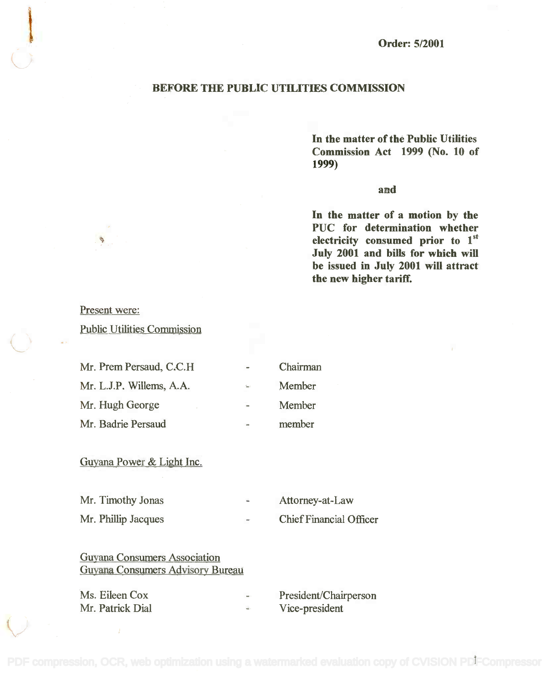#### BEFORE THE PUBLIC UTILITIES COMMISSION

In the matter of the Public Utilities **In the matter of the Public Utilities** Commission Act 1999 (No. 10 of **Commission Act 1999 (No. 10 of** 1999) **1999)**

#### and

In the matter of a motion by the **In the matter of a motion by the** PUC for determination whether **PUC for determination whether** electricity consumed prior to 1st **electricity consumed prior to 1 st** July 2001 and bills for which will **July 2001 and bills for which wiD** be issued in July 2001 will attract **be issued in July 2001 wiD attract** the new higher tariff. **the new higher tariff.**

Present were:

Public Utilities Commission

| Mr. Prem Persaud, C.C.H. | $\sim$                       | Chairman |
|--------------------------|------------------------------|----------|
| Mr. L.J.P. Willems, A.A. | $\mathcal{L}_{\text{tot}}$ ) | Member   |
| Mr. Hugh George          | $\overline{\phantom{a}}$     | Member   |
| Mr. Badrie Persaud       | m                            | member   |

## Guyana Power & Light Inc.

| Mr. Timothy Jonas   | <b>Abs</b> | Attorney-at-Law                |
|---------------------|------------|--------------------------------|
| Mr. Phillip Jacques | $-$        | <b>Chief Financial Officer</b> |

### Guyana Consumers Association Guyana Consumers Association Guyana Consumers Advisory Bureau Guyana Consumers Advisory Bureau

| Ms. Eileen Cox   | <b>OUT</b> | President/Chairperson |
|------------------|------------|-----------------------|
| Mr. Patrick Dial |            | Vice-president        |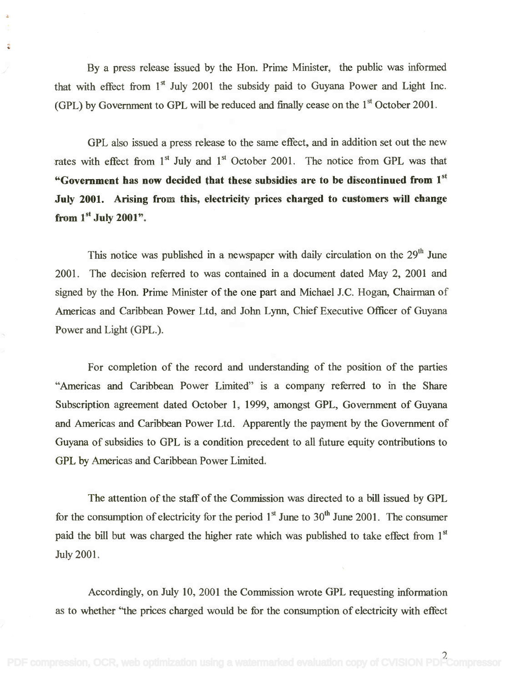By a press release issued by the Hon. Prime Minister, the public was informed By a press release issued by the Hon. Prime Minister, the public was informed that with effect from  $1<sup>st</sup>$  July 2001 the subsidy paid to Guyana Power and Light Inc. (GPL) by Government to GPL will be reduced and finally cease on the  $1<sup>st</sup>$  October 2001.

á

GPL also issued a press release to the same effect, and in addition set out the new GPL also issued a press release to the same effect, and in addition set out the new rates with effect from  $1<sup>st</sup>$  July and  $1<sup>st</sup>$  October 2001. The notice from GPL was that "Government has now decided that these subsidies are to be discontinued from  $1^{st}$ July 2001. Arising from this, electricity prices charged to customers will change July 2001. Arising from this, electricity prices charged to customers will change from  $1^\mathrm{st}$  July 2001".

This notice was published in a newspaper with daily circulation on the 29<sup>th</sup> June 2001. The decision referred to was contained in a document dated May 2, 2001 and 2001. The decision referred to was contained in a document dated May 2, 2001 and signed by the Hon. Prime Minister of the one part and Michael J.C. Hogan, Chairman of signed by the Hon. Prime Minister of the one part and Michael J.C. Hogan, Chairman of Americas and Caribbean Power Ltd, and John Lynn, Chief Executive Officer of Guyana Americas and Caribbean Power Ltd, and John Lynn, Chief Executive Officer of Guyana Power and Light (GPL.). Power and Light (GPL.).

For completion of the record and understanding of the position of the parties For completion of the record and understanding of the position of the parties "Americas and Caribbean Power Limited" is a company referred to in the Share "Americas and Caribbean Power Limited" is a company referred to in the Share Subscription agreement dated October 1, 1999, amongst GPL, Government of Guyana Subscription agreement dated October 1, 1999, amongst GPL, Government of Guyana and Americas and Caribbean Power Ltd. Apparently the payment by the Government of Guyana of subsidies to GPL is a condition precedent to all future equity contributions to Guyana of subsidies to GPL is a condition precedent to all future equity contributions to GPL by Americas and Caribbean Power Limited. GPL by Americas and Caribbean Power Limited.

The attention of the staff of the Commission was directed to a bill issued by GPL The attention of the staff of the Commission was directed to a bill issued by GPL for the consumption of electricity for the period  $1<sup>st</sup>$  June to  $30<sup>th</sup>$  June 2001. The consumer paid the bill but was charged the higher rate which was published to take effect from 1<sup>st</sup> July 2001. July 2001.

Accordingly, on July 10, 2001 the Commission wrote GPL requesting information Accordingly, on July 10, 2001 the Commission wrote GPL requesting information as to whether "the prices charged would be for the consumption of electricity with effect as to whether "the prices charged would be for the consumption of electricity with effect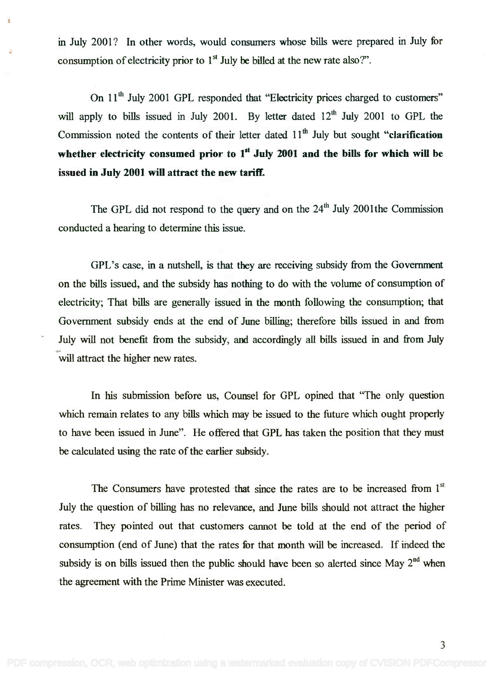in July 2001? In other words, would consumers whose bills were prepared in July for in July 2001? In other words, would consumers whose bills were prepared in July for consumption of electricity prior to  $1<sup>st</sup>$  July be billed at the new rate also?".

;:

ś

On 11<sup>th</sup> July 2001 GPL responded that "Electricity prices charged to customers" will apply to bills issued in July 2001. By letter dated  $12<sup>th</sup>$  July 2001 to GPL the Commission noted the contents of their letter dated 11<sup>th</sup> July but sought "clarification whether electricity consumed prior to  $1<sup>st</sup>$  July 2001 and the bills for which will be issued in July 2001 will attract the new tariff. issued in July 2001 will attract the new tariff.

The GPL did not respond to the query and on the  $24<sup>th</sup>$  July 2001 the Commission conducted a hearing to determine this issue. conducted a hearing to determine this issue.

GPL's case, in a nutshell, is that they are receiving subsidy from the Government GPL's case, in a nutshell, is that they are receiving subsidy from the Government on the bills issued, and the subsidy has nothing to do with the volume of consumption of electricity; That bills are generally issued in the month following the consumption; that electricity; That bills are generally issued in the month following the consumption; that Government subsidy ends at the end of June billing; therefore bills issued in and from Government subsidy ends at the end of June billing; therefore bills issued in and from July will not benefit from the subsidy, and accordingly all bills issued in and from July July will not benefit from the subsidy, and accordingly all bills issued in and from July will attract the higher new rates.

In his submission before us, Counsel for GPL opined that "The only question In his submission before us, Counsel for GPL opined that "The only question which remain relates to any bills which may be issued to the future which ought properly which remain relates to any bills which may be issued to the future which ought properly to have been issued in June". He offered that GPL has taken the position that they must to have been issued in June". He offered that GPL has taken the position that they must be calculated using the rate of the earlier subsidy. be calculated using the rate of the earlier subsidy.

The Consumers have protested that since the rates are to be increased from  $1<sup>st</sup>$ July the question of billing has no relevance, and June bills should not attract the higher July the question of billing has no relevance, and June bills should not attract the higher rates. They pointed out that customers cannot be told at the end of the period of consumption (end of June) that the rates for that month will be increased. If indeed the consumption (end of June) that the rates for that month will be increased. If mdeed the subsidy is on bills issued then the public should have been so alerted since May  $2<sup>nd</sup>$  when the agreement with the Prime Minister was executed. the agreement with the Prime Minister was executed.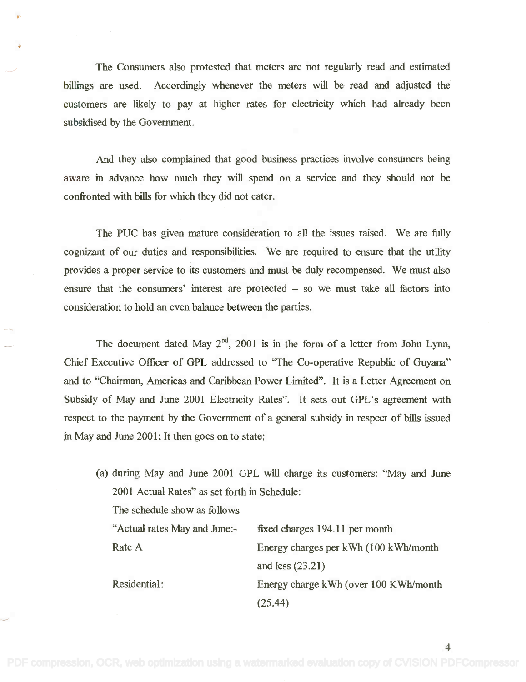The Consumers also protested that meters are not regularly read and estimated The Consumers also protested that meters are not regularly read and estimated billings are used. Accordingly whenever the meters will be read and adjusted the billings are used. Accordingly whenever the meters will be read and adjusted the customers are likely to pay at higher rates for electricity which had already been customers are likely to pay at higher rates for electricity which had already been subsidised by the Government. subsidised by the Government.

And they also complained that good business practices involve consumers being And they also complained that good business practices involve consumers being aware in advance how much they will spend on a service and they should not be aware in advance how much they will spend on a service and they should not be confronted with bills for which they did not cater. confronted with bills for which they did not cater.

The PUC has given mature consideration to all the issues raised. We are fully The PUC has given mature consideration to all the issues raised. We are fully cognizant of our duties and responsibilities. We are required to ensure that the utility cognizant of our duties and responsibilities. We are required to ensure that the utility provides a proper service to its customers and must be duly recompensed. We must also provides a proper service to its customets and must be duly recompensed. We must also ensure that the consumers' interest are protected  $-$  so we must take all factors into consideration to hold an even balance between the parties. consideration to hold an even balance between the parties.

The document dated May  $2^{nd}$ , 2001 is in the form of a letter from John Lynn, Chief Executive Officer of GPL addressed to "The Co-operative Republic of Guyana" Chief Executive Officer of GPL addressed to "The Co-operative Republic of Guyana" and to "Chairman, Americas and Caribbean Power Limited". It is a Letter Agreement on and to "Chairman, Americas and Caribbean Power Limited". It is a Letter Agreement on Subsidy of May and June 2001 Electricity Rates". It sets out GPL's agreement with Subsidy of May and June 2001 Electricity Rates". It sets out GPL's agreement with respect to the payment by the Government of a general subsidy in respect of bills issued respect to the payment by the Government of a general subsidy in respect of bills issued in May and June 2001; It then goes on to state: in May and June 2001; It then goes on to state:

(a) during May and June 2001 GPL will charge its customers: "May and June (a) during May and June 2001 GPL will charge its customers: "May and June 2001 Actual Rates" as set forth in Schedule: 2001 Actual Rates" as set forth in Schedule: The schedule show as follows The schedule show as follows

| "Actual rates May and June:- | fixed charges 194.11 per month         |
|------------------------------|----------------------------------------|
| Rate A                       | Energy charges per kWh (100 kWh/month) |
|                              | and less $(23.21)$                     |
| Residential:                 | Energy charge kWh (over 100 KWh/month) |
|                              | (25.44)                                |

4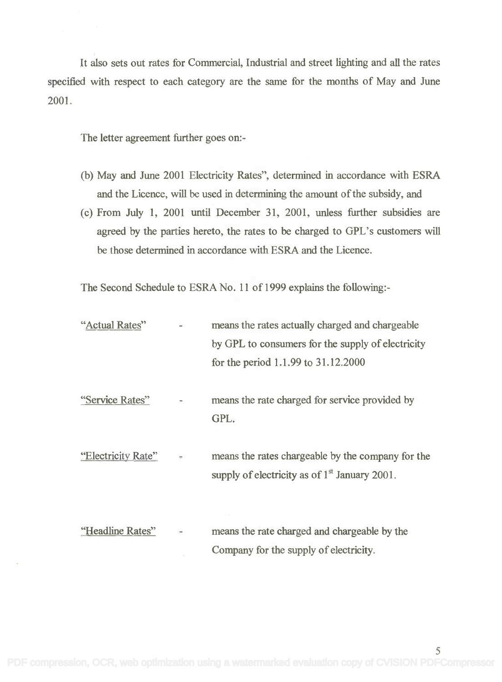It also sets out rates for Commercial, Industrial and street lighting and all the rates It also sets out rates for Commercial, Industrial and street lighting and all the rates specified with respect to each category are the same for the months of May and June specified with respect to each category are the same for the months of May and June 2001. 2001.

The letter agreement further goes on:-

- (b) May and June 2001 Electricity Rates", determined in accordance with ESRA (b) May and June 2001 Electricity Rates", determined in accordance with ESRA and the Licence, will be used in determining the amount of the subsidy, and and the Licence, will be used in determining the amount of the subsidy, and
- (c) From July 1, 2001 until December 31, 2001, unless further subsidies are (c) From July 1, 2001 until December 31, 2001, unless further subsidies are agreed by the parties hereto, the rates to be charged to GPL's customers will agreed by the parties hereto, the rates to be charged to GPL's customers will be those determined in accordance with ESRA and the Licence. be those determined in accordance with ESRA and the Licence.

The Second Schedule to ESRA No. 11 of 1999 explains the following:-

| "Actual Rates"     |                      | means the rates actually charged and chargeable                                                      |  |
|--------------------|----------------------|------------------------------------------------------------------------------------------------------|--|
|                    |                      | by GPL to consumers for the supply of electricity                                                    |  |
|                    |                      | for the period 1.1.99 to 31.12.2000                                                                  |  |
| "Service Rates"    |                      | means the rate charged for service provided by<br>GPL.                                               |  |
| "Electricity Rate" | $\frac{1}{\sqrt{2}}$ | means the rates chargeable by the company for the<br>supply of electricity as of $1st$ January 2001. |  |
| "Headline Rates"   |                      | means the rate charged and chargeable by the<br>Company for the supply of electricity.               |  |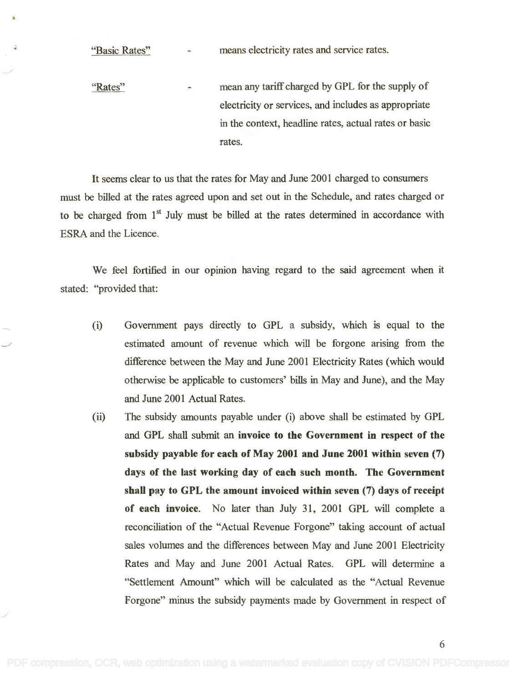"Basic Rates"

means electricity rates and service rates.

mean any tariff charged by GPL for the supply of mean any tariff charged by GPL for the supply of "Rates"  $\overline{a}$ electricity or services, and includes as appropriate electricity or services, and includes as appropriate in the context, headline rates, actual rates or basic in the context, headline rates, actual rates or basic rates. rates.

It seems clear to us that the rates for May and June 2001 charged to consumers It seems clear to us that the rates for May and June 2001 charged to consumers must be billed at the rates agreed upon and set out in the Schedule, and rates charged or must be billed at the rates agreed upon and set out in the Schedule, and rates charged or to be charged from  $1<sup>st</sup>$  July must be billed at the rates determined in accordance with ESRA and the Licence. ESRA and the Licence.

We feel fortified in our opinion having regard to the said agreement when it We feel fortified in our opinion having regard to the said agreement when it stated: "provided that:

- (i) Government pays directly to GPL a subsidy, which is equal to the (i) Government pays directly to GPL a subsidy, which is equal to the estimated amount of revenue which will be forgone arising from the estimated amount of revenue which will be forgone arising from the difference between the May and June 2001 Electricity Rates (which would difference between the May and June 2001 Electricity Rates (which would otherwise be applicable to customers' bills in May and June), and the May otherwise be applicable to customers' bills in May and June), and the May and June 2001 Actual Rates. and June 200I Actual Rates.
- (ii) The subsidy amounts payable under (i) above shall be estimated by GPL (ii) The subsidy amounts payable under (i) above shall be estimated by GPL and GPL shall submit an invoice to the Government in respect of the and GPL shall submit an invoice to the Government in respect of the subsidy payable for each of May 2001 and June 2001 within seven (7) subsidy payable for each of May 2001 and June 2001 within seven (7) days of the last working day of each such month. The Government shall pay to GPL the amount invoiced within seven (7) days of receipt of each invoice. No later than July 31, 2001 GPL will complete a reconciliation of the "Actual Revenue Forgone" taking account of actual reconciliation of the "Actual Revenue Forgone" taking account of actual sales volumes and the differences between May and June 2001 Electricity sales volumes and the differences between May and June 2001 Electricity Rates and May and June 2001 Actual Rates. GPL will determine a Rates and May and June 2001 Actual Rates. GPL will determine a "Settlement Amount" which will be calculated as the "Actual Revenue "Settlement Amount" which will be calculated as the "Actual Revenue Forgone" minus the subsidy payments made by Government in respect of Forgone" minus the subsidy payments made by Government in respect of

6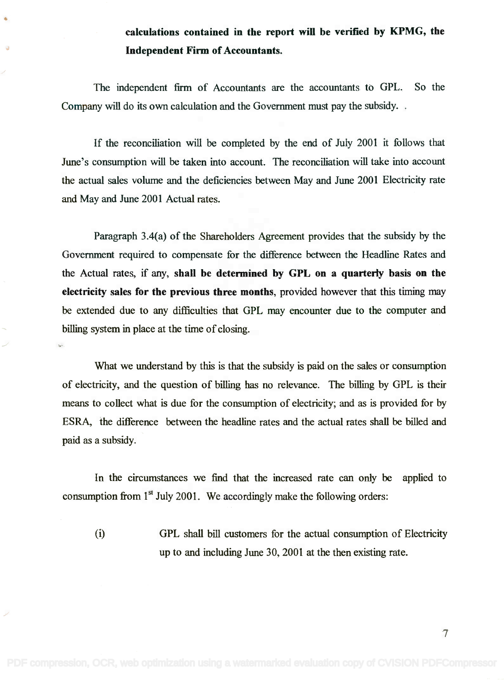# calculations contained in the report will be verified by KPMG, the calculations contained in the report will be verified by KPMG, the Independent Firm of Accountants. Independent Finn of Accountants.

The independent firm of Accountants are the accountants to GPL. So the The independent firm of Accountants are the accountants to GPL. So the Company will do its own calculation and the Government must pay the subsidy. . Company will do its own calculation and the Government must pay the subsidy. .

 $\bullet$ 

If the reconciliation will be completed by the end of July 2001 it follows that If the reconciliation will be completed by the end of July 2001 it follows that June's consumption will be taken into account. The reconciliation will take into account June's consumption will be taken into account. The reconciliation will take into account the actual sales volume and the deficiencies between May and June 2001 Electricity rate the actual sales volume and the deficiencies between May and June 2001 Electricity rate and May and June 2001 Actual rates. and May and June 2001 Actual rates.

Paragraph 3.4(a) of the Shareholders Agreement provides that the subsidy by the Paragraph 3.4(a) of the Shareholders Agreement provides that the subsidy by the Government required to compensate for the difference between the Headline Rates and Government required to compensate for the difference between the Headline Rates and the Actual rates, if any, shall be determined by GPL on a quarterly basis on the electricity sales for the previous three months, provided however that this timing may electricity sales for the previous three months, provided however that this timing may be extended due to any difficulties that GPL may encounter due to the computer and be extended due to any difficulties that GPL may encounter due to the computer and billing system in place at the time of closing. billing system in place at the time of closing.

What we understand by this is that the subsidy is paid on the sales or consumption What we understand by this is that the subsidy is paid on the sales or consumption of electricity, and the question of billing has no relevance. The billing by GPL is their means to collect what is due for the consumption of electricity; and as is provided for by means to collect what is due for the consumption of electricity; and as is provided for by ESRA, the difference between the headline rates and the actual rates shall be billed and ESRA, the difference between the headline rates and the actual rates shall be billed and paid as a subsidy. paid as a subsidy.

In the circumstances we find that the increased rate can only be applied to In the circumstances we find that the increased rate can only be applied to consumption from  $1<sup>st</sup>$  July 2001. We accordingly make the following orders:

(0 GPL shall bill customers for the actual consumption of Electricity GPL shall bill customers for the actual consumption of Electricity up to and including June 30, 2001 at the then existing rate. up to and including June 30, 2001 at the then existing rate.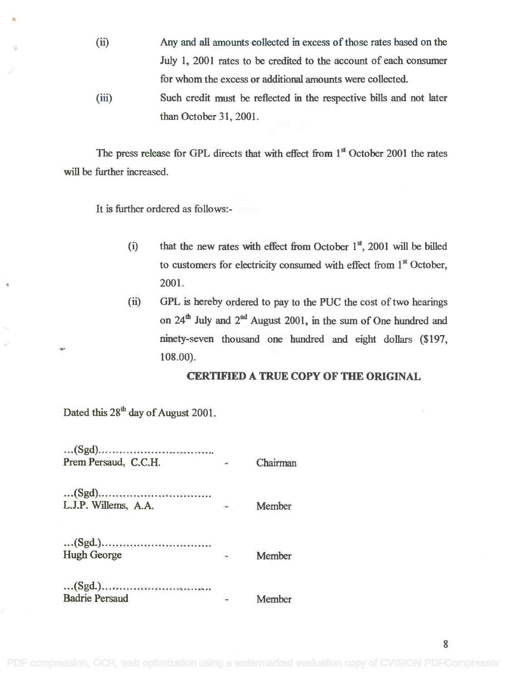- Any and all amounts collected in excess of those rates based on the (ii) Any and all amounts collected in excess of those rates based on the July 1, 2001 rates to be credited to the account of each consumer July 1, 2001 rates to be credited to the account of each consumer for whom the excess or additional amounts were collected. for whom the excess or additional amounts were collected.
- Such credit must be reflected in the respective bills and not later (iii) Such credit must be reflected in the respective bills and not later than October 31, 2001. than October 31, 2001.

The press release for GPL directs that with effect from  $1<sup>st</sup>$  October 2001 the rates will be further increased. will be further increased.

It is further ordered as follows:-

- (i) that the new rates with effect from October  $1<sup>st</sup>$ , 2001 will be billed to customers for electricity consumed with effect from 1<sup>st</sup> October, 2001. 2001.
- $(ii)$ GPL is hereby ordered to pay to the PUC the cost of two hearings GPL is hereby ordered to pay to the PUC the cost of two hearings on  $24<sup>th</sup>$  July and  $2<sup>nd</sup>$  August 2001, in the sum of One hundred and ninety-seven thousand one hundred and eight dollars (\$197, ninety-seven thousand one hundred and eight dollars (\$197, 108.00). 10S.00).

#### CER11141ED A TRUE COPY OF THE ORIGINAL **CER'I1FIED A TRUE COpy OF THE ORIGINAL**

Dated this  $28<sup>th</sup>$  day of August 2001.

| Prem Persaud, C.C.H.  |                                             | Chairman |
|-----------------------|---------------------------------------------|----------|
| L.J.P. Willems, A.A.  | $\mathbf{r} = \mathbf{r} \times \mathbf{r}$ | Member   |
| <b>Hugh George</b>    |                                             | Member   |
| <b>Badrie Persaud</b> |                                             | Member   |